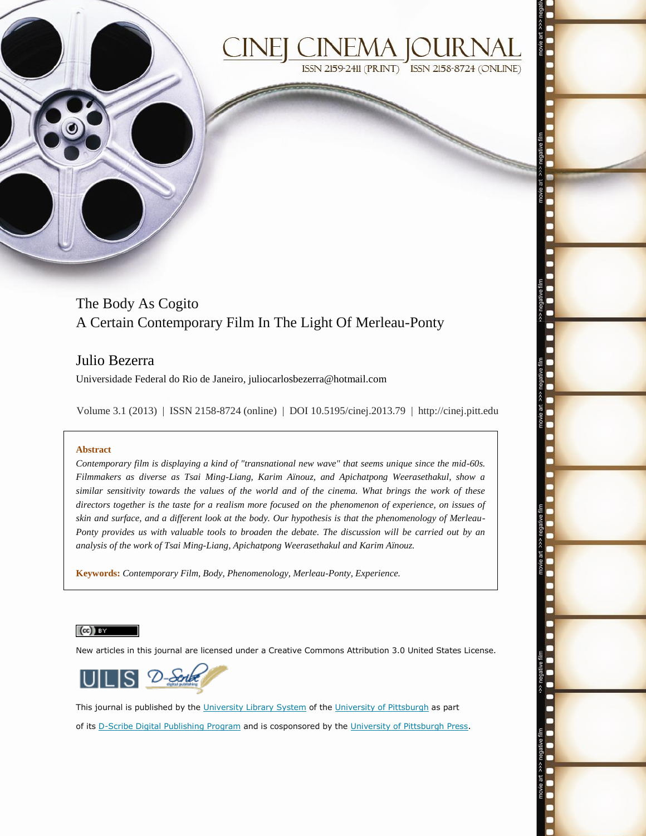

# **ISSN 2159-2411 (PRINT)** ISSN 2158-8724 (ONLINE)

## The Body As Cogito A Certain Contemporary Film In The Light Of Merleau-Ponty

### Julio Bezerra

Universidade Federal do Rio de Janeiro, juliocarlosbezerra@hotmail.com

Volume 3.1 (2013) | ISSN 2158-8724 (online) | DOI 10.5195/cinej.2013.79 | http://cinej.pitt.edu

#### **Abstract**

*Contemporary film is displaying a kind of "transnational new wave" that seems unique since the mid-60s. Filmmakers as diverse as Tsai Ming-Liang, Karim Aïnouz, and Apichatpong Weerasethakul, show a similar sensitivity towards the values of the world and of the cinema. What brings the work of these directors together is the taste for a realism more focused on the phenomenon of experience, on issues of skin and surface, and a different look at the body. Our hypothesis is that the phenomenology of Merleau-Ponty provides us with valuable tools to broaden the debate. The discussion will be carried out by an analysis of the work of Tsai Ming-Liang, Apichatpong Weerasethakul and Karim Aïnouz.*

**Keywords:** *Contemporary Film, Body, Phenomenology, Merleau-Ponty, Experience.*

#### $(cc)$  BY

New articles in this journal are licensed under a Creative Commons Attribution 3.0 United States License.



This journal is published by the [University Library System](http://www.library.pitt.edu/) of th[e University of Pittsburgh](http://www.pitt.edu/) as part of its [D-Scribe Digital Publishing](http://www.library.pitt.edu/articles/digpubtype/index.html) Program and is cosponsored by the [University of Pittsburgh Press.](http://www.upress.pitt.edu/upressIndex.aspx)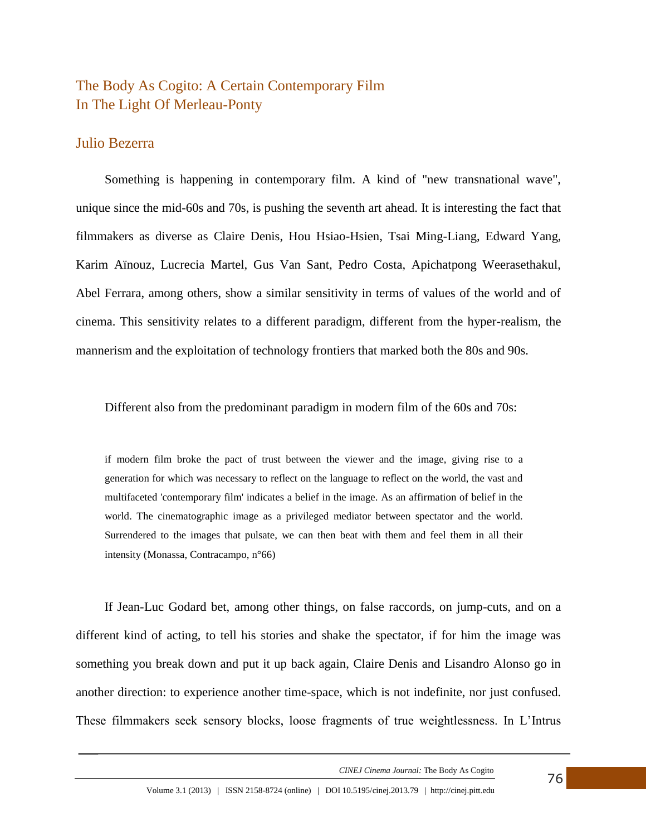## The Body As Cogito: A Certain Contemporary Film In The Light Of Merleau-Ponty

#### Julio Bezerra

Something is happening in contemporary film. A kind of "new transnational wave", unique since the mid-60s and 70s, is pushing the seventh art ahead. It is interesting the fact that filmmakers as diverse as Claire Denis, Hou Hsiao-Hsien, Tsai Ming-Liang, Edward Yang, Karim Aïnouz, Lucrecia Martel, Gus Van Sant, Pedro Costa, Apichatpong Weerasethakul, Abel Ferrara, among others, show a similar sensitivity in terms of values of the world and of cinema. This sensitivity relates to a different paradigm, different from the hyper-realism, the mannerism and the exploitation of technology frontiers that marked both the 80s and 90s.

Different also from the predominant paradigm in modern film of the 60s and 70s:

if modern film broke the pact of trust between the viewer and the image, giving rise to a generation for which was necessary to reflect on the language to reflect on the world, the vast and multifaceted 'contemporary film' indicates a belief in the image. As an affirmation of belief in the world. The cinematographic image as a privileged mediator between spectator and the world. Surrendered to the images that pulsate, we can then beat with them and feel them in all their intensity (Monassa, Contracampo, n°66)

If Jean-Luc Godard bet, among other things, on false raccords, on jump-cuts, and on a different kind of acting, to tell his stories and shake the spectator, if for him the image was something you break down and put it up back again, Claire Denis and Lisandro Alonso go in another direction: to experience another time-space, which is not indefinite, nor just confused. These filmmakers seek sensory blocks, loose fragments of true weightlessness. In L'Intrus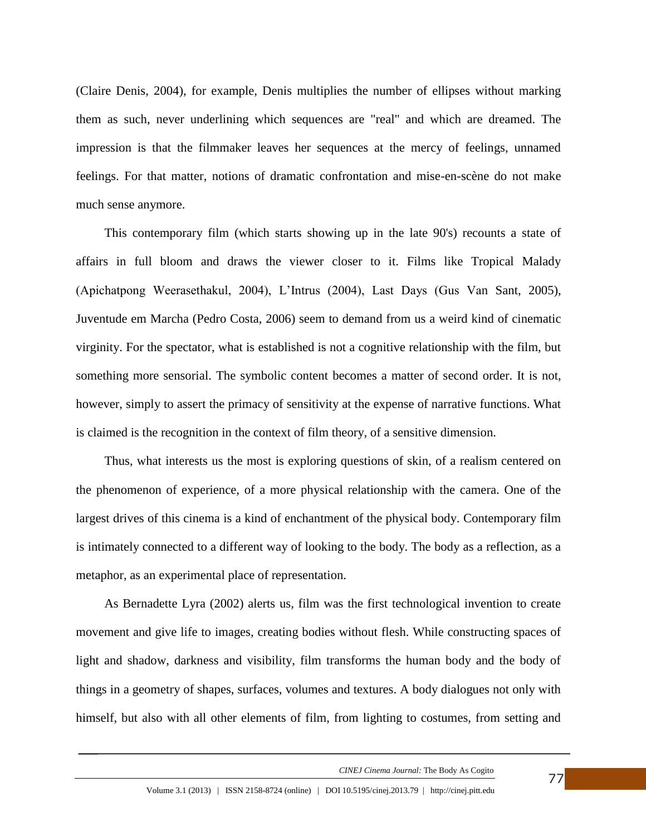(Claire Denis, 2004), for example, Denis multiplies the number of ellipses without marking them as such, never underlining which sequences are "real" and which are dreamed. The impression is that the filmmaker leaves her sequences at the mercy of feelings, unnamed feelings. For that matter, notions of dramatic confrontation and mise-en-scène do not make much sense anymore.

This contemporary film (which starts showing up in the late 90's) recounts a state of affairs in full bloom and draws the viewer closer to it. Films like Tropical Malady (Apichatpong Weerasethakul, 2004), L'Intrus (2004), Last Days (Gus Van Sant, 2005), Juventude em Marcha (Pedro Costa, 2006) seem to demand from us a weird kind of cinematic virginity. For the spectator, what is established is not a cognitive relationship with the film, but something more sensorial. The symbolic content becomes a matter of second order. It is not, however, simply to assert the primacy of sensitivity at the expense of narrative functions. What is claimed is the recognition in the context of film theory, of a sensitive dimension.

Thus, what interests us the most is exploring questions of skin, of a realism centered on the phenomenon of experience, of a more physical relationship with the camera. One of the largest drives of this cinema is a kind of enchantment of the physical body. Contemporary film is intimately connected to a different way of looking to the body. The body as a reflection, as a metaphor, as an experimental place of representation.

As Bernadette Lyra (2002) alerts us, film was the first technological invention to create movement and give life to images, creating bodies without flesh. While constructing spaces of light and shadow, darkness and visibility, film transforms the human body and the body of things in a geometry of shapes, surfaces, volumes and textures. A body dialogues not only with himself, but also with all other elements of film, from lighting to costumes, from setting and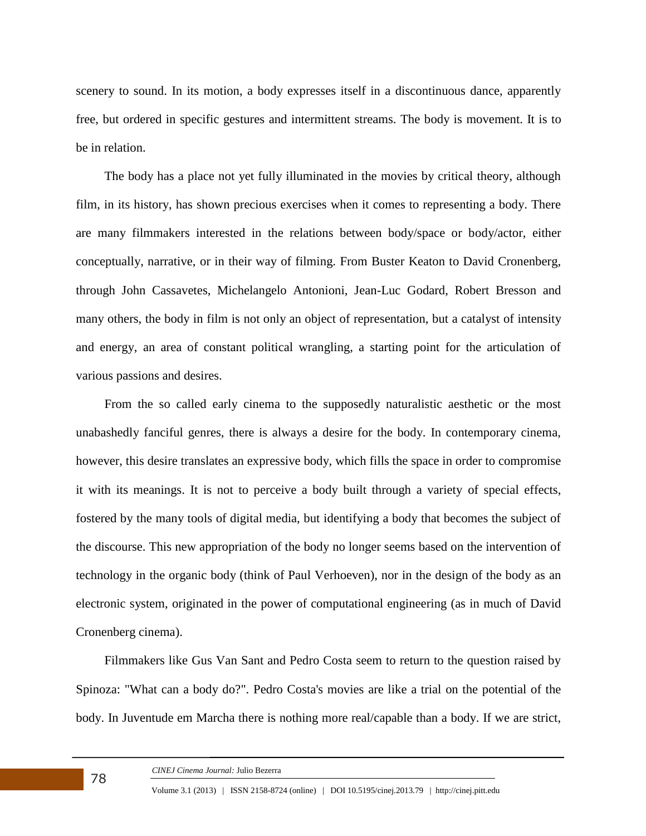scenery to sound. In its motion, a body expresses itself in a discontinuous dance, apparently free, but ordered in specific gestures and intermittent streams. The body is movement. It is to be in relation.

The body has a place not yet fully illuminated in the movies by critical theory, although film, in its history, has shown precious exercises when it comes to representing a body. There are many filmmakers interested in the relations between body/space or body/actor, either conceptually, narrative, or in their way of filming. From Buster Keaton to David Cronenberg, through John Cassavetes, Michelangelo Antonioni, Jean-Luc Godard, Robert Bresson and many others, the body in film is not only an object of representation, but a catalyst of intensity and energy, an area of constant political wrangling, a starting point for the articulation of various passions and desires.

From the so called early cinema to the supposedly naturalistic aesthetic or the most unabashedly fanciful genres, there is always a desire for the body. In contemporary cinema, however, this desire translates an expressive body, which fills the space in order to compromise it with its meanings. It is not to perceive a body built through a variety of special effects, fostered by the many tools of digital media, but identifying a body that becomes the subject of the discourse. This new appropriation of the body no longer seems based on the intervention of technology in the organic body (think of Paul Verhoeven), nor in the design of the body as an electronic system, originated in the power of computational engineering (as in much of David Cronenberg cinema).

Filmmakers like Gus Van Sant and Pedro Costa seem to return to the question raised by Spinoza: "What can a body do?". Pedro Costa's movies are like a trial on the potential of the body. In Juventude em Marcha there is nothing more real/capable than a body. If we are strict,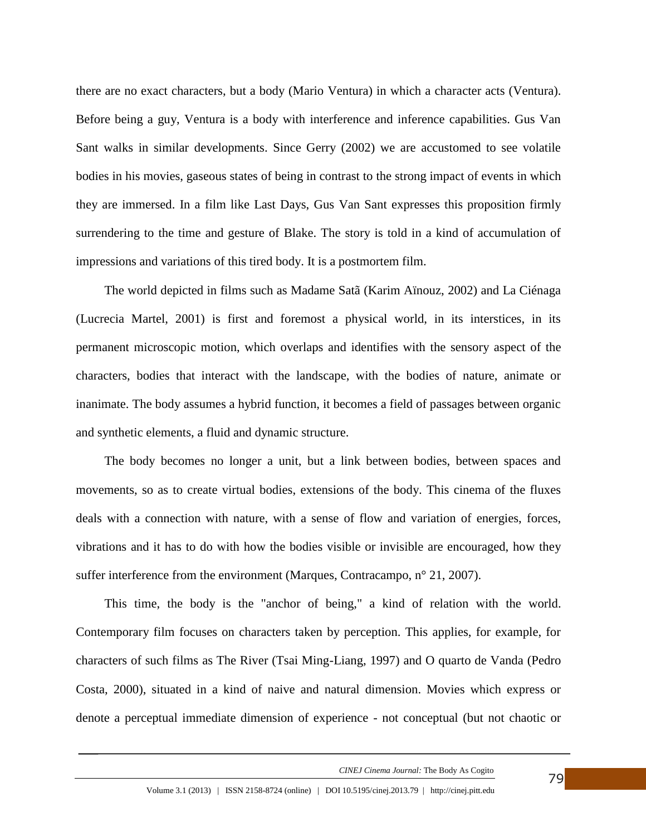there are no exact characters, but a body (Mario Ventura) in which a character acts (Ventura). Before being a guy, Ventura is a body with interference and inference capabilities. Gus Van Sant walks in similar developments. Since Gerry (2002) we are accustomed to see volatile bodies in his movies, gaseous states of being in contrast to the strong impact of events in which they are immersed. In a film like Last Days, Gus Van Sant expresses this proposition firmly surrendering to the time and gesture of Blake. The story is told in a kind of accumulation of impressions and variations of this tired body. It is a postmortem film.

The world depicted in films such as Madame Satã (Karim Aïnouz, 2002) and La Ciénaga (Lucrecia Martel, 2001) is first and foremost a physical world, in its interstices, in its permanent microscopic motion, which overlaps and identifies with the sensory aspect of the characters, bodies that interact with the landscape, with the bodies of nature, animate or inanimate. The body assumes a hybrid function, it becomes a field of passages between organic and synthetic elements, a fluid and dynamic structure.

The body becomes no longer a unit, but a link between bodies, between spaces and movements, so as to create virtual bodies, extensions of the body. This cinema of the fluxes deals with a connection with nature, with a sense of flow and variation of energies, forces, vibrations and it has to do with how the bodies visible or invisible are encouraged, how they suffer interference from the environment (Marques, Contracampo, n° 21, 2007).

This time, the body is the "anchor of being," a kind of relation with the world. Contemporary film focuses on characters taken by perception. This applies, for example, for characters of such films as The River (Tsai Ming-Liang, 1997) and O quarto de Vanda (Pedro Costa, 2000), situated in a kind of naive and natural dimension. Movies which express or denote a perceptual immediate dimension of experience - not conceptual (but not chaotic or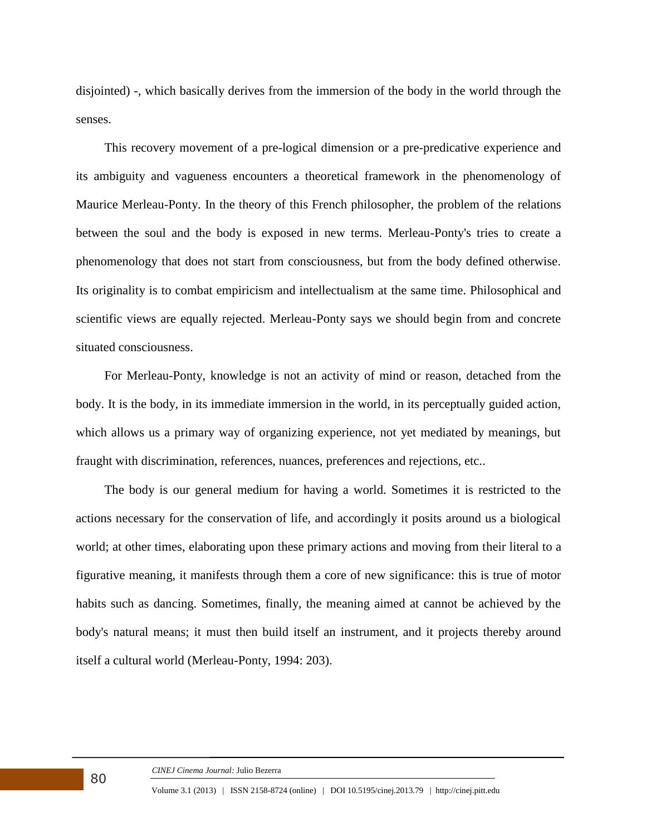disjointed) -, which basically derives from the immersion of the body in the world through the senses.

This recovery movement of a pre-logical dimension or a pre-predicative experience and its ambiguity and vagueness encounters a theoretical framework in the phenomenology of Maurice Merleau-Ponty. In the theory of this French philosopher, the problem of the relations between the soul and the body is exposed in new terms. Merleau-Ponty's tries to create a phenomenology that does not start from consciousness, but from the body defined otherwise. Its originality is to combat empiricism and intellectualism at the same time. Philosophical and scientific views are equally rejected. Merleau-Ponty says we should begin from and concrete situated consciousness.

For Merleau-Ponty, knowledge is not an activity of mind or reason, detached from the body. It is the body, in its immediate immersion in the world, in its perceptually guided action, which allows us a primary way of organizing experience, not yet mediated by meanings, but fraught with discrimination, references, nuances, preferences and rejections, etc..

The body is our general medium for having a world. Sometimes it is restricted to the actions necessary for the conservation of life, and accordingly it posits around us a biological world; at other times, elaborating upon these primary actions and moving from their literal to a figurative meaning, it manifests through them a core of new significance: this is true of motor habits such as dancing. Sometimes, finally, the meaning aimed at cannot be achieved by the body's natural means; it must then build itself an instrument, and it projects thereby around itself a cultural world (Merleau-Ponty, 1994: 203).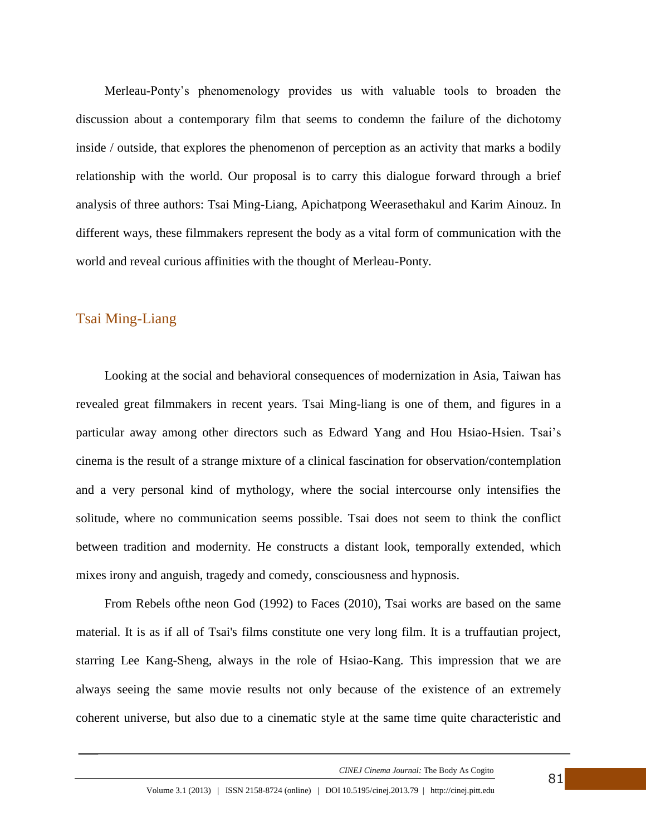Merleau-Ponty's phenomenology provides us with valuable tools to broaden the discussion about a contemporary film that seems to condemn the failure of the dichotomy inside / outside, that explores the phenomenon of perception as an activity that marks a bodily relationship with the world. Our proposal is to carry this dialogue forward through a brief analysis of three authors: Tsai Ming-Liang, Apichatpong Weerasethakul and Karim Ainouz. In different ways, these filmmakers represent the body as a vital form of communication with the world and reveal curious affinities with the thought of Merleau-Ponty.

#### Tsai Ming-Liang

Looking at the social and behavioral consequences of modernization in Asia, Taiwan has revealed great filmmakers in recent years. Tsai Ming-liang is one of them, and figures in a particular away among other directors such as Edward Yang and Hou Hsiao-Hsien. Tsai's cinema is the result of a strange mixture of a clinical fascination for observation/contemplation and a very personal kind of mythology, where the social intercourse only intensifies the solitude, where no communication seems possible. Tsai does not seem to think the conflict between tradition and modernity. He constructs a distant look, temporally extended, which mixes irony and anguish, tragedy and comedy, consciousness and hypnosis.

From Rebels ofthe neon God (1992) to Faces (2010), Tsai works are based on the same material. It is as if all of Tsai's films constitute one very long film. It is a truffautian project, starring Lee Kang-Sheng, always in the role of Hsiao-Kang. This impression that we are always seeing the same movie results not only because of the existence of an extremely coherent universe, but also due to a cinematic style at the same time quite characteristic and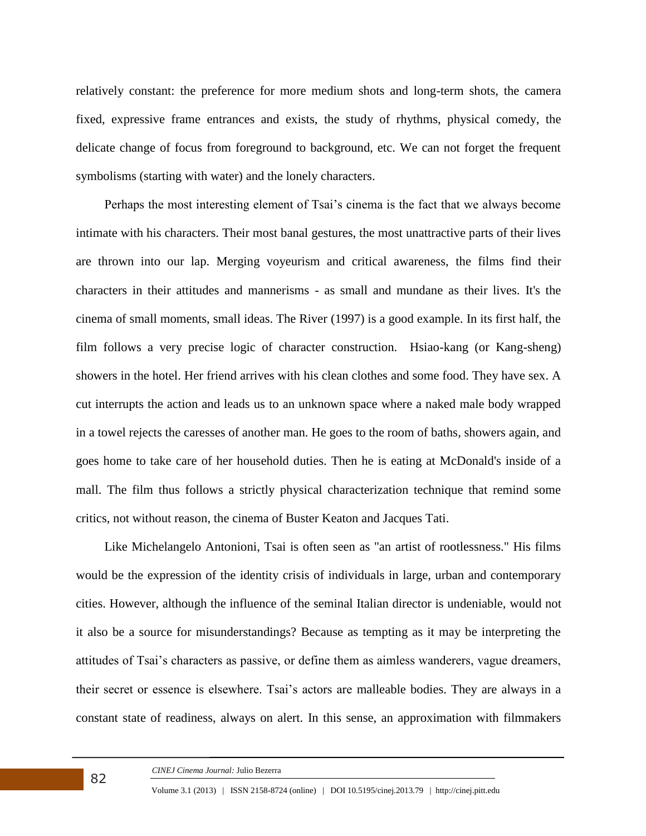relatively constant: the preference for more medium shots and long-term shots, the camera fixed, expressive frame entrances and exists, the study of rhythms, physical comedy, the delicate change of focus from foreground to background, etc. We can not forget the frequent symbolisms (starting with water) and the lonely characters.

Perhaps the most interesting element of Tsai's cinema is the fact that we always become intimate with his characters. Their most banal gestures, the most unattractive parts of their lives are thrown into our lap. Merging voyeurism and critical awareness, the films find their characters in their attitudes and mannerisms - as small and mundane as their lives. It's the cinema of small moments, small ideas. The River (1997) is a good example. In its first half, the film follows a very precise logic of character construction. Hsiao-kang (or Kang-sheng) showers in the hotel. Her friend arrives with his clean clothes and some food. They have sex. A cut interrupts the action and leads us to an unknown space where a naked male body wrapped in a towel rejects the caresses of another man. He goes to the room of baths, showers again, and goes home to take care of her household duties. Then he is eating at McDonald's inside of a mall. The film thus follows a strictly physical characterization technique that remind some critics, not without reason, the cinema of Buster Keaton and Jacques Tati.

Like Michelangelo Antonioni, Tsai is often seen as "an artist of rootlessness." His films would be the expression of the identity crisis of individuals in large, urban and contemporary cities. However, although the influence of the seminal Italian director is undeniable, would not it also be a source for misunderstandings? Because as tempting as it may be interpreting the attitudes of Tsai's characters as passive, or define them as aimless wanderers, vague dreamers, their secret or essence is elsewhere. Tsai's actors are malleable bodies. They are always in a constant state of readiness, always on alert. In this sense, an approximation with filmmakers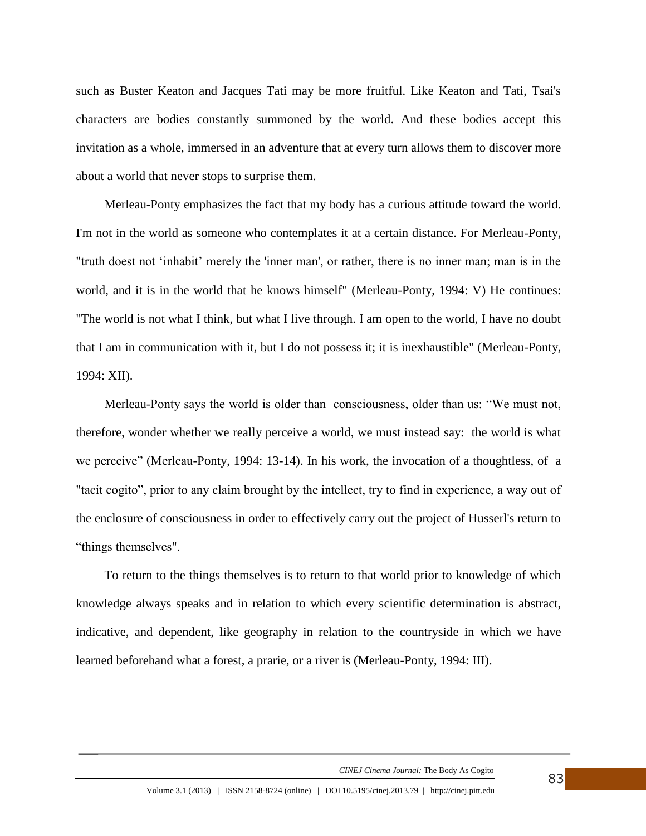such as Buster Keaton and Jacques Tati may be more fruitful. Like Keaton and Tati, Tsai's characters are bodies constantly summoned by the world. And these bodies accept this invitation as a whole, immersed in an adventure that at every turn allows them to discover more about a world that never stops to surprise them.

Merleau-Ponty emphasizes the fact that my body has a curious attitude toward the world. I'm not in the world as someone who contemplates it at a certain distance. For Merleau-Ponty, "truth doest not 'inhabit' merely the 'inner man', or rather, there is no inner man; man is in the world, and it is in the world that he knows himself" (Merleau-Ponty, 1994: V) He continues: "The world is not what I think, but what I live through. I am open to the world, I have no doubt that I am in communication with it, but I do not possess it; it is inexhaustible" (Merleau-Ponty, 1994: XII).

Merleau-Ponty says the world is older than consciousness, older than us: "We must not, therefore, wonder whether we really perceive a world, we must instead say: the world is what we perceive" (Merleau-Ponty, 1994: 13-14). In his work, the invocation of a thoughtless, of a "tacit cogito", prior to any claim brought by the intellect, try to find in experience, a way out of the enclosure of consciousness in order to effectively carry out the project of Husserl's return to "things themselves".

To return to the things themselves is to return to that world prior to knowledge of which knowledge always speaks and in relation to which every scientific determination is abstract, indicative, and dependent, like geography in relation to the countryside in which we have learned beforehand what a forest, a prarie, or a river is (Merleau-Ponty, 1994: III).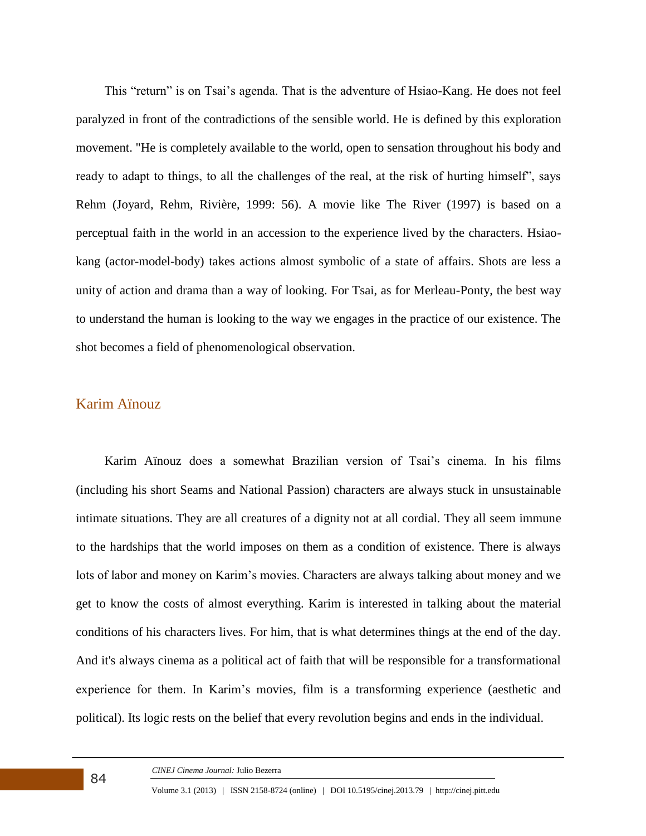This "return" is on Tsai's agenda. That is the adventure of Hsiao-Kang. He does not feel paralyzed in front of the contradictions of the sensible world. He is defined by this exploration movement. "He is completely available to the world, open to sensation throughout his body and ready to adapt to things, to all the challenges of the real, at the risk of hurting himself", says Rehm (Joyard, Rehm, Rivière, 1999: 56). A movie like The River (1997) is based on a perceptual faith in the world in an accession to the experience lived by the characters. Hsiaokang (actor-model-body) takes actions almost symbolic of a state of affairs. Shots are less a unity of action and drama than a way of looking. For Tsai, as for Merleau-Ponty, the best way to understand the human is looking to the way we engages in the practice of our existence. The shot becomes a field of phenomenological observation.

#### Karim Aïnouz

Karim Aïnouz does a somewhat Brazilian version of Tsai's cinema. In his films (including his short Seams and National Passion) characters are always stuck in unsustainable intimate situations. They are all creatures of a dignity not at all cordial. They all seem immune to the hardships that the world imposes on them as a condition of existence. There is always lots of labor and money on Karim's movies. Characters are always talking about money and we get to know the costs of almost everything. Karim is interested in talking about the material conditions of his characters lives. For him, that is what determines things at the end of the day. And it's always cinema as a political act of faith that will be responsible for a transformational experience for them. In Karim's movies, film is a transforming experience (aesthetic and political). Its logic rests on the belief that every revolution begins and ends in the individual.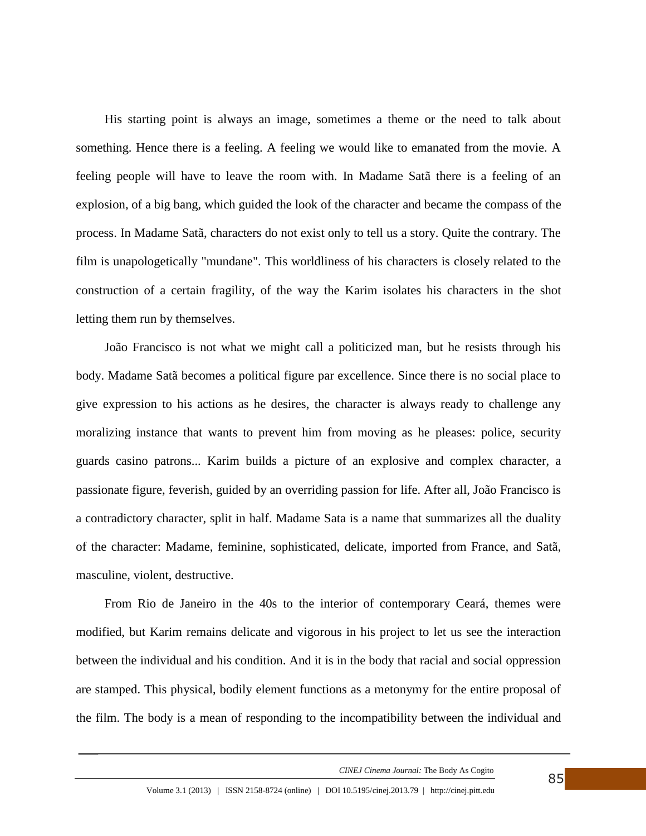His starting point is always an image, sometimes a theme or the need to talk about something. Hence there is a feeling. A feeling we would like to emanated from the movie. A feeling people will have to leave the room with. In Madame Satã there is a feeling of an explosion, of a big bang, which guided the look of the character and became the compass of the process. In Madame Satã, characters do not exist only to tell us a story. Quite the contrary. The film is unapologetically "mundane". This worldliness of his characters is closely related to the construction of a certain fragility, of the way the Karim isolates his characters in the shot letting them run by themselves.

João Francisco is not what we might call a politicized man, but he resists through his body. Madame Satã becomes a political figure par excellence. Since there is no social place to give expression to his actions as he desires, the character is always ready to challenge any moralizing instance that wants to prevent him from moving as he pleases: police, security guards casino patrons... Karim builds a picture of an explosive and complex character, a passionate figure, feverish, guided by an overriding passion for life. After all, João Francisco is a contradictory character, split in half. Madame Sata is a name that summarizes all the duality of the character: Madame, feminine, sophisticated, delicate, imported from France, and Satã, masculine, violent, destructive.

From Rio de Janeiro in the 40s to the interior of contemporary Ceará, themes were modified, but Karim remains delicate and vigorous in his project to let us see the interaction between the individual and his condition. And it is in the body that racial and social oppression are stamped. This physical, bodily element functions as a metonymy for the entire proposal of the film. The body is a mean of responding to the incompatibility between the individual and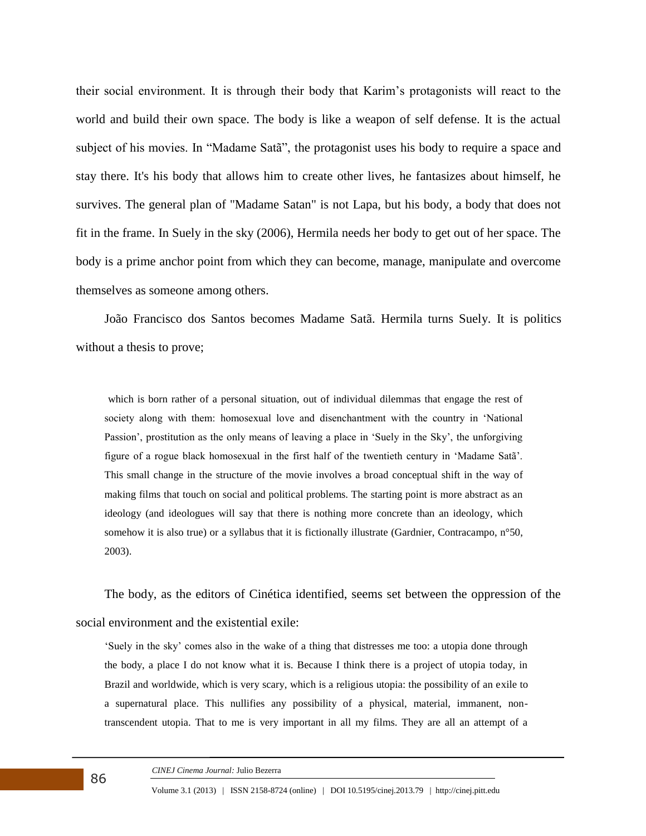their social environment. It is through their body that Karim's protagonists will react to the world and build their own space. The body is like a weapon of self defense. It is the actual subject of his movies. In "Madame Satã", the protagonist uses his body to require a space and stay there. It's his body that allows him to create other lives, he fantasizes about himself, he survives. The general plan of "Madame Satan" is not Lapa, but his body, a body that does not fit in the frame. In Suely in the sky (2006), Hermila needs her body to get out of her space. The body is a prime anchor point from which they can become, manage, manipulate and overcome themselves as someone among others.

João Francisco dos Santos becomes Madame Satã. Hermila turns Suely. It is politics without a thesis to prove;

which is born rather of a personal situation, out of individual dilemmas that engage the rest of society along with them: homosexual love and disenchantment with the country in 'National Passion', prostitution as the only means of leaving a place in 'Suely in the Sky', the unforgiving figure of a rogue black homosexual in the first half of the twentieth century in 'Madame Satã'. This small change in the structure of the movie involves a broad conceptual shift in the way of making films that touch on social and political problems. The starting point is more abstract as an ideology (and ideologues will say that there is nothing more concrete than an ideology, which somehow it is also true) or a syllabus that it is fictionally illustrate (Gardnier, Contracampo, n°50, 2003).

The body, as the editors of Cinética identified, seems set between the oppression of the social environment and the existential exile:

'Suely in the sky' comes also in the wake of a thing that distresses me too: a utopia done through the body, a place I do not know what it is. Because I think there is a project of utopia today, in Brazil and worldwide, which is very scary, which is a religious utopia: the possibility of an exile to a supernatural place. This nullifies any possibility of a physical, material, immanent, nontranscendent utopia. That to me is very important in all my films. They are all an attempt of a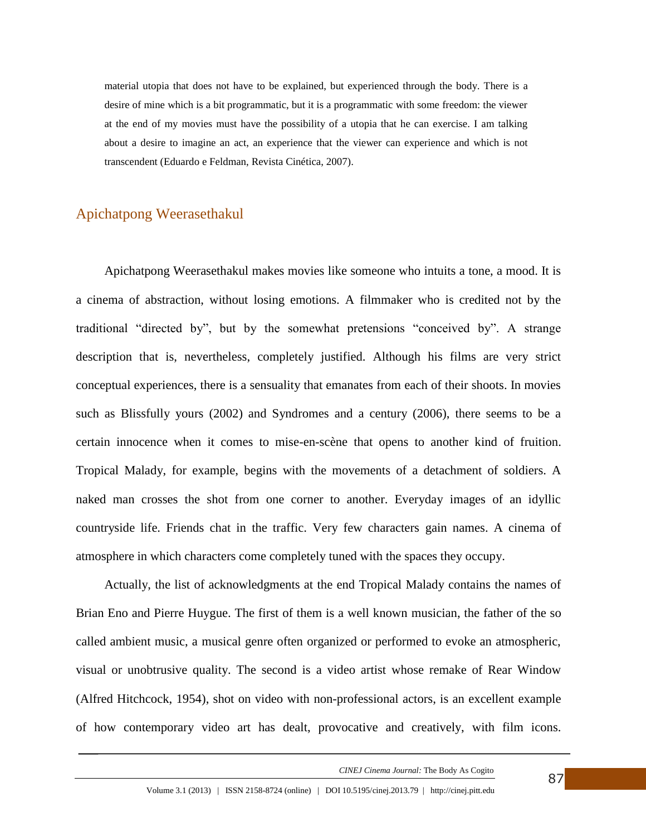material utopia that does not have to be explained, but experienced through the body. There is a desire of mine which is a bit programmatic, but it is a programmatic with some freedom: the viewer at the end of my movies must have the possibility of a utopia that he can exercise. I am talking about a desire to imagine an act, an experience that the viewer can experience and which is not transcendent (Eduardo e Feldman, Revista Cinética, 2007).

### Apichatpong Weerasethakul

Apichatpong Weerasethakul makes movies like someone who intuits a tone, a mood. It is a cinema of abstraction, without losing emotions. A filmmaker who is credited not by the traditional "directed by", but by the somewhat pretensions "conceived by". A strange description that is, nevertheless, completely justified. Although his films are very strict conceptual experiences, there is a sensuality that emanates from each of their shoots. In movies such as Blissfully yours (2002) and Syndromes and a century (2006), there seems to be a certain innocence when it comes to mise-en-scène that opens to another kind of fruition. Tropical Malady, for example, begins with the movements of a detachment of soldiers. A naked man crosses the shot from one corner to another. Everyday images of an idyllic countryside life. Friends chat in the traffic. Very few characters gain names. A cinema of atmosphere in which characters come completely tuned with the spaces they occupy.

Actually, the list of acknowledgments at the end Tropical Malady contains the names of Brian Eno and Pierre Huygue. The first of them is a well known musician, the father of the so called ambient music, a musical genre often organized or performed to evoke an atmospheric, visual or unobtrusive quality. The second is a video artist whose remake of Rear Window (Alfred Hitchcock, 1954), shot on video with non-professional actors, is an excellent example of how contemporary video art has dealt, provocative and creatively, with film icons.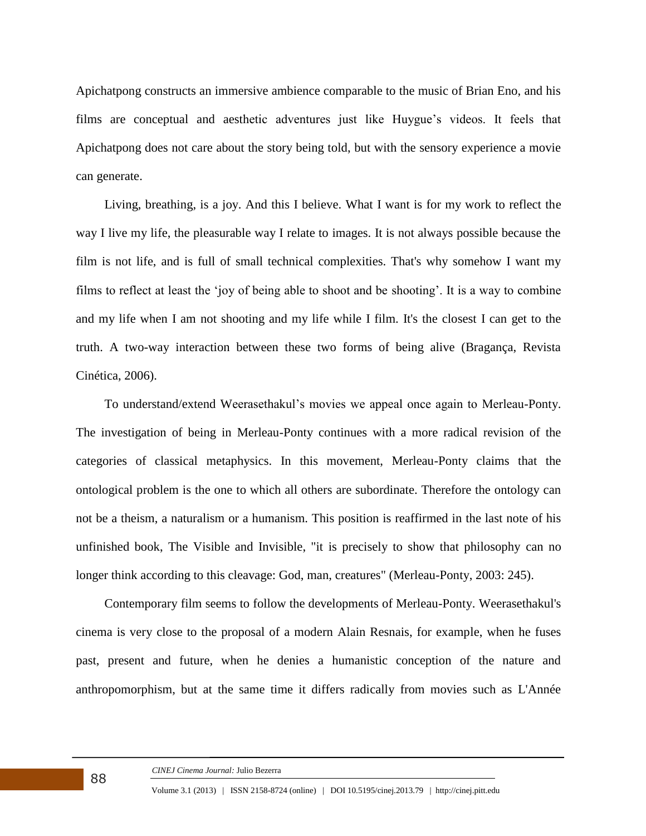Apichatpong constructs an immersive ambience comparable to the music of Brian Eno, and his films are conceptual and aesthetic adventures just like Huygue's videos. It feels that Apichatpong does not care about the story being told, but with the sensory experience a movie can generate.

Living, breathing, is a joy. And this I believe. What I want is for my work to reflect the way I live my life, the pleasurable way I relate to images. It is not always possible because the film is not life, and is full of small technical complexities. That's why somehow I want my films to reflect at least the 'joy of being able to shoot and be shooting'. It is a way to combine and my life when I am not shooting and my life while I film. It's the closest I can get to the truth. A two-way interaction between these two forms of being alive (Bragança, Revista Cinética, 2006).

To understand/extend Weerasethakul's movies we appeal once again to Merleau-Ponty. The investigation of being in Merleau-Ponty continues with a more radical revision of the categories of classical metaphysics. In this movement, Merleau-Ponty claims that the ontological problem is the one to which all others are subordinate. Therefore the ontology can not be a theism, a naturalism or a humanism. This position is reaffirmed in the last note of his unfinished book, The Visible and Invisible, "it is precisely to show that philosophy can no longer think according to this cleavage: God, man, creatures" (Merleau-Ponty, 2003: 245).

Contemporary film seems to follow the developments of Merleau-Ponty. Weerasethakul's cinema is very close to the proposal of a modern Alain Resnais, for example, when he fuses past, present and future, when he denies a humanistic conception of the nature and anthropomorphism, but at the same time it differs radically from movies such as L'Année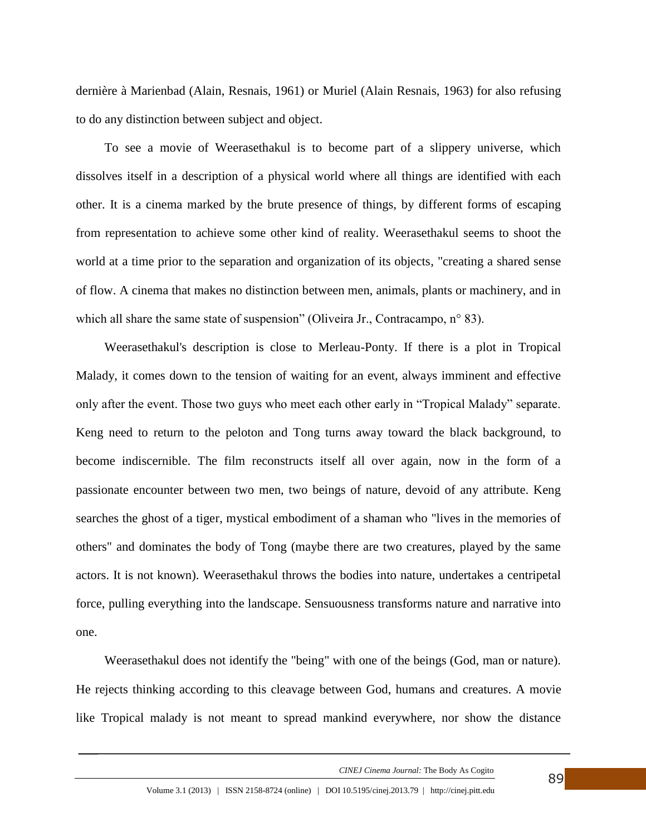dernière à Marienbad (Alain, Resnais, 1961) or Muriel (Alain Resnais, 1963) for also refusing to do any distinction between subject and object.

To see a movie of Weerasethakul is to become part of a slippery universe, which dissolves itself in a description of a physical world where all things are identified with each other. It is a cinema marked by the brute presence of things, by different forms of escaping from representation to achieve some other kind of reality. Weerasethakul seems to shoot the world at a time prior to the separation and organization of its objects, "creating a shared sense of flow. A cinema that makes no distinction between men, animals, plants or machinery, and in which all share the same state of suspension" (Oliveira Jr., Contracampo, n° 83).

Weerasethakul's description is close to Merleau-Ponty. If there is a plot in Tropical Malady, it comes down to the tension of waiting for an event, always imminent and effective only after the event. Those two guys who meet each other early in "Tropical Malady" separate. Keng need to return to the peloton and Tong turns away toward the black background, to become indiscernible. The film reconstructs itself all over again, now in the form of a passionate encounter between two men, two beings of nature, devoid of any attribute. Keng searches the ghost of a tiger, mystical embodiment of a shaman who "lives in the memories of others" and dominates the body of Tong (maybe there are two creatures, played by the same actors. It is not known). Weerasethakul throws the bodies into nature, undertakes a centripetal force, pulling everything into the landscape. Sensuousness transforms nature and narrative into one.

Weerasethakul does not identify the "being" with one of the beings (God, man or nature). He rejects thinking according to this cleavage between God, humans and creatures. A movie like Tropical malady is not meant to spread mankind everywhere, nor show the distance

*CINEJ Cinema Journal:* The Body As Cogito

89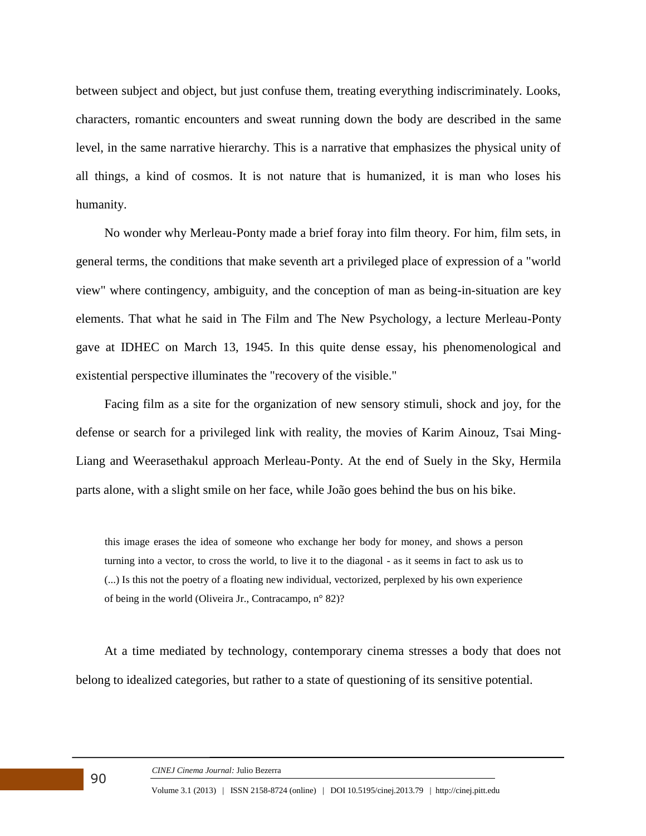between subject and object, but just confuse them, treating everything indiscriminately. Looks, characters, romantic encounters and sweat running down the body are described in the same level, in the same narrative hierarchy. This is a narrative that emphasizes the physical unity of all things, a kind of cosmos. It is not nature that is humanized, it is man who loses his humanity.

No wonder why Merleau-Ponty made a brief foray into film theory. For him, film sets, in general terms, the conditions that make seventh art a privileged place of expression of a "world view" where contingency, ambiguity, and the conception of man as being-in-situation are key elements. That what he said in The Film and The New Psychology, a lecture Merleau-Ponty gave at IDHEC on March 13, 1945. In this quite dense essay, his phenomenological and existential perspective illuminates the "recovery of the visible."

Facing film as a site for the organization of new sensory stimuli, shock and joy, for the defense or search for a privileged link with reality, the movies of Karim Ainouz, Tsai Ming-Liang and Weerasethakul approach Merleau-Ponty. At the end of Suely in the Sky, Hermila parts alone, with a slight smile on her face, while João goes behind the bus on his bike.

this image erases the idea of someone who exchange her body for money, and shows a person turning into a vector, to cross the world, to live it to the diagonal - as it seems in fact to ask us to (...) Is this not the poetry of a floating new individual, vectorized, perplexed by his own experience of being in the world (Oliveira Jr., Contracampo, n° 82)?

At a time mediated by technology, contemporary cinema stresses a body that does not belong to idealized categories, but rather to a state of questioning of its sensitive potential.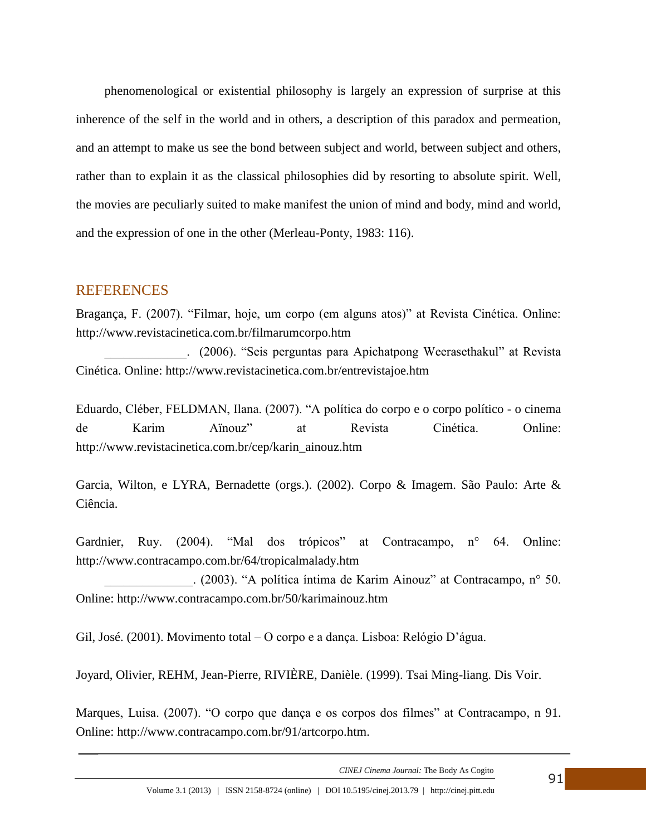phenomenological or existential philosophy is largely an expression of surprise at this inherence of the self in the world and in others, a description of this paradox and permeation, and an attempt to make us see the bond between subject and world, between subject and others, rather than to explain it as the classical philosophies did by resorting to absolute spirit. Well, the movies are peculiarly suited to make manifest the union of mind and body, mind and world, and the expression of one in the other (Merleau-Ponty, 1983: 116).

#### REFERENCES

Bragança, F. (2007). "Filmar, hoje, um corpo (em alguns atos)" at Revista Cinética. Online: http://www.revistacinetica.com.br/filmarumcorpo.htm

\_\_\_\_\_\_\_\_\_\_\_\_\_. (2006). "Seis perguntas para Apichatpong Weerasethakul" at Revista Cinética. Online: http://www.revistacinetica.com.br/entrevistajoe.htm

Eduardo, Cléber, FELDMAN, Ilana. (2007). "A política do corpo e o corpo político - o cinema de Karim Aïnouz" at Revista Cinética. Online: http://www.revistacinetica.com.br/cep/karin\_ainouz.htm

Garcia, Wilton, e LYRA, Bernadette (orgs.). (2002). Corpo & Imagem. São Paulo: Arte & Ciência.

Gardnier, Ruy. (2004). "Mal dos trópicos" at Contracampo, n° 64. Online: http://www.contracampo.com.br/64/tropicalmalady.htm

\_\_\_\_\_\_\_\_\_\_\_\_\_\_. (2003). "A política íntima de Karim Ainouz" at Contracampo, n° 50. Online: http://www.contracampo.com.br/50/karimainouz.htm

Gil, José. (2001). Movimento total – O corpo e a dança. Lisboa: Relógio D'água.

Joyard, Olivier, REHM, Jean-Pierre, RIVIÈRE, Danièle. (1999). Tsai Ming-liang. Dis Voir.

Marques, Luisa. (2007). "O corpo que dança e os corpos dos filmes" at Contracampo, n 91. Online: http://www.contracampo.com.br/91/artcorpo.htm.